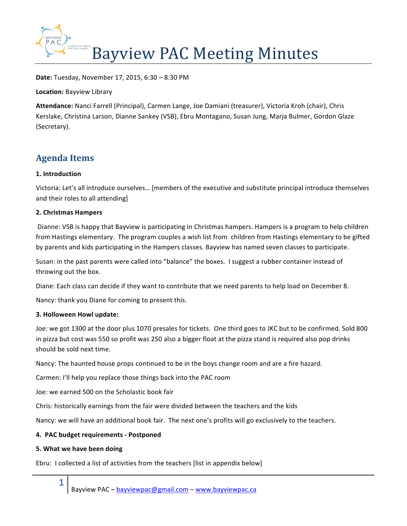

**Date:** Tuesday, November 17, 2015, 6:30 – 8:30 PM

**Location: Bayview Library** 

Attendance: Nanci Farrell (Principal), Carmen Lange, Joe Damiani (treasurer), Victoria Kroh (chair), Chris Kerslake, Christina Larson, Dianne Sankey (VSB), Ebru Montagano, Susan Jung, Marja Bulmer, Gordon Glaze (Secretary).

# **Agenda Items**

## **1. Introduction**

Victoria: Let's all introduce ourselves... [members of the executive and substitute principal introduce themselves and their roles to all attending]

## **2. Christmas Hampers**

Dianne: VSB is happy that Bayview is participating in Christmas hampers. Hampers is a program to help children from Hastings elementary. The program couples a wish list from children from Hastings elementary to be gifted by parents and kids participating in the Hampers classes. Bayview has named seven classes to participate.

Susan: in the past parents were called into "balance" the boxes. I suggest a rubber container instead of throwing out the box.

Diane: Each class can decide if they want to contribute that we need parents to help load on December 8.

Nancy: thank you Diane for coming to present this.

## **3. Holloween Howl update:**

Joe: we got 1300 at the door plus 1070 presales for tickets. One third goes to JKC but to be confirmed. Sold 800 in pizza but cost was 550 so profit was 250 also a bigger float at the pizza stand is required also pop drinks should be sold next time.

Nancy: The haunted house props continued to be in the boys change room and are a fire hazard.

Carmen: I'll help you replace those things back into the PAC room

Joe: we earned 500 on the Scholastic book fair

Chris: historically earnings from the fair were divided between the teachers and the kids

Nancy: we will have an additional book fair. The next one's profits will go exclusively to the teachers.

## **4. PAC budget requirements - Postponed**

## **5. What we have been doing**

**1**

Ebru: I collected a list of activities from the teachers [list in appendix below]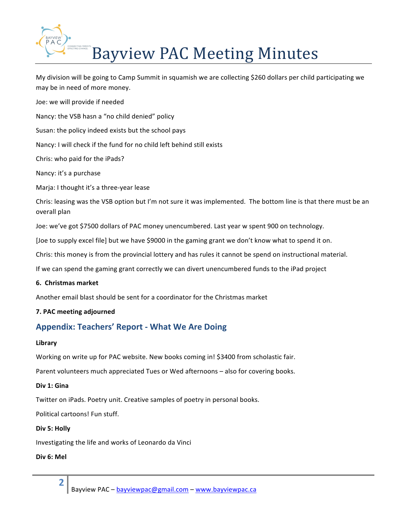

My division will be going to Camp Summit in squamish we are collecting \$260 dollars per child participating we may be in need of more money.

Joe: we will provide if needed Nancy: the VSB hasn a "no child denied" policy Susan: the policy indeed exists but the school pays Nancy: I will check if the fund for no child left behind still exists Chris: who paid for the iPads? Nancy: it's a purchase Marja: I thought it's a three-year lease Chris: leasing was the VSB option but I'm not sure it was implemented. The bottom line is that there must be an overall plan Joe: we've got \$7500 dollars of PAC money unencumbered. Last year w spent 900 on technology. [Joe to supply excel file] but we have \$9000 in the gaming grant we don't know what to spend it on. Chris: this money is from the provincial lottery and has rules it cannot be spend on instructional material.

If we can spend the gaming grant correctly we can divert unencumbered funds to the iPad project

## **6. Christmas market**

Another email blast should be sent for a coordinator for the Christmas market

## **7. PAC meeting adjourned**

## **Appendix: Teachers' Report - What We Are Doing**

#### **Library**

Working on write up for PAC website. New books coming in! \$3400 from scholastic fair.

Parent volunteers much appreciated Tues or Wed afternoons – also for covering books.

## Div 1: Gina

Twitter on iPads. Poetry unit. Creative samples of poetry in personal books.

Political cartoons! Fun stuff.

#### Div 5: Holly

Investigating the life and works of Leonardo da Vinci

## **Div 6: Mel**

**2**